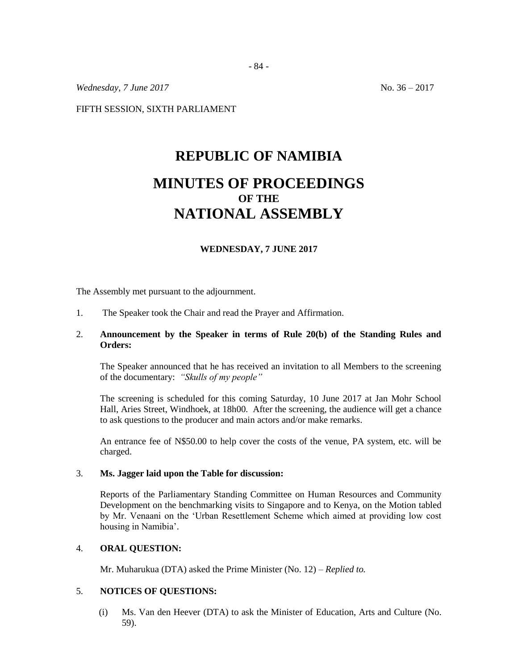*Wednesday, 7 June* 2017 **No. 36 – 2017** 

FIFTH SESSION, SIXTH PARLIAMENT

# **REPUBLIC OF NAMIBIA MINUTES OF PROCEEDINGS OF THE NATIONAL ASSEMBLY**

#### **WEDNESDAY, 7 JUNE 2017**

The Assembly met pursuant to the adjournment.

1. The Speaker took the Chair and read the Prayer and Affirmation.

# 2. **Announcement by the Speaker in terms of Rule 20(b) of the Standing Rules and Orders:**

The Speaker announced that he has received an invitation to all Members to the screening of the documentary: *"Skulls of my people"*

The screening is scheduled for this coming Saturday, 10 June 2017 at Jan Mohr School Hall, Aries Street, Windhoek, at 18h00. After the screening, the audience will get a chance to ask questions to the producer and main actors and/or make remarks.

An entrance fee of N\$50.00 to help cover the costs of the venue, PA system, etc. will be charged.

### 3. **Ms. Jagger laid upon the Table for discussion:**

Reports of the Parliamentary Standing Committee on Human Resources and Community Development on the benchmarking visits to Singapore and to Kenya, on the Motion tabled by Mr. Venaani on the 'Urban Resettlement Scheme which aimed at providing low cost housing in Namibia'.

# 4. **ORAL QUESTION:**

Mr. Muharukua (DTA) asked the Prime Minister (No. 12) – *Replied to.* 

# 5. **NOTICES OF QUESTIONS:**

(i) Ms. Van den Heever (DTA) to ask the Minister of Education, Arts and Culture (No. 59).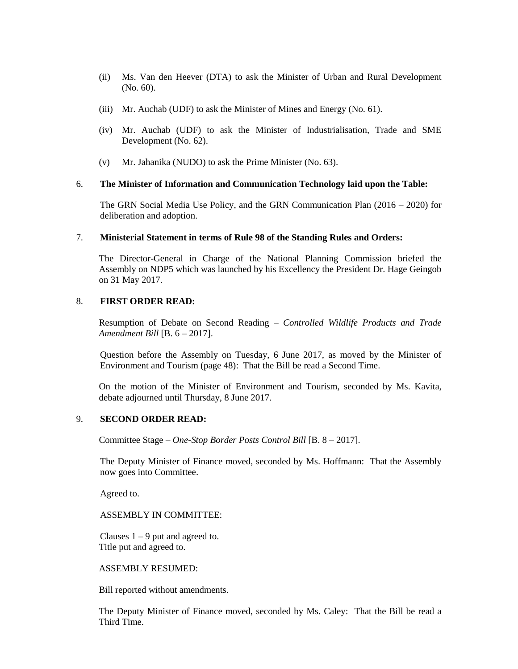- (ii) Ms. Van den Heever (DTA) to ask the Minister of Urban and Rural Development (No. 60).
- (iii) Mr. Auchab (UDF) to ask the Minister of Mines and Energy (No. 61).
- (iv) Mr. Auchab (UDF) to ask the Minister of Industrialisation, Trade and SME Development (No. 62).
- (v) Mr. Jahanika (NUDO) to ask the Prime Minister (No. 63).

# 6. **The Minister of Information and Communication Technology laid upon the Table:**

The GRN Social Media Use Policy, and the GRN Communication Plan (2016 – 2020) for deliberation and adoption.

#### 7. **Ministerial Statement in terms of Rule 98 of the Standing Rules and Orders:**

The Director-General in Charge of the National Planning Commission briefed the Assembly on NDP5 which was launched by his Excellency the President Dr. Hage Geingob on 31 May 2017.

## 8. **FIRST ORDER READ:**

Resumption of Debate on Second Reading – *Controlled Wildlife Products and Trade Amendment Bill* [B. 6 – 2017].

Question before the Assembly on Tuesday, 6 June 2017, as moved by the Minister of Environment and Tourism (page 48): That the Bill be read a Second Time.

On the motion of the Minister of Environment and Tourism, seconded by Ms. Kavita, debate adjourned until Thursday, 8 June 2017.

## 9. **SECOND ORDER READ:**

Committee Stage – *One-Stop Border Posts Control Bill* [B. 8 – 2017].

The Deputy Minister of Finance moved, seconded by Ms. Hoffmann: That the Assembly now goes into Committee.

Agreed to.

#### ASSEMBLY IN COMMITTEE:

Clauses  $1 - 9$  put and agreed to. Title put and agreed to.

ASSEMBLY RESUMED:

Bill reported without amendments.

The Deputy Minister of Finance moved, seconded by Ms. Caley: That the Bill be read a Third Time.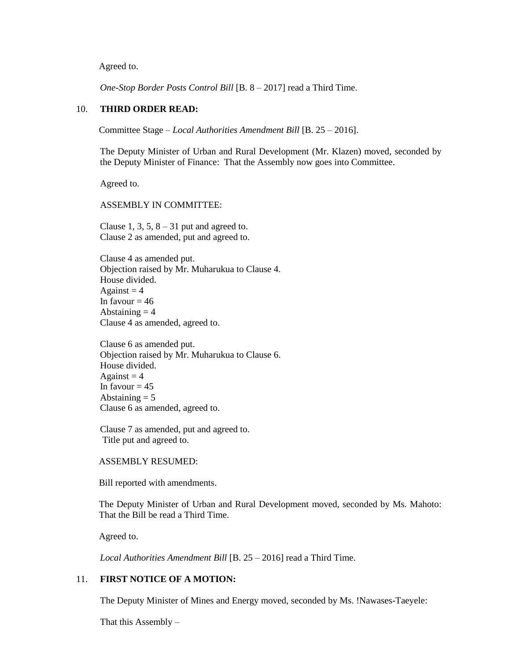Agreed to.

*One-Stop Border Posts Control Bill* [B. 8 – 2017] read a Third Time.

#### 10. **THIRD ORDER READ:**

Committee Stage – *Local Authorities Amendment Bill* [B. 25 – 2016].

The Deputy Minister of Urban and Rural Development (Mr. Klazen) moved, seconded by the Deputy Minister of Finance: That the Assembly now goes into Committee.

Agreed to.

ASSEMBLY IN COMMITTEE:

Clause 1, 3, 5,  $8 - 31$  put and agreed to. Clause 2 as amended, put and agreed to.

Clause 4 as amended put. Objection raised by Mr. Muharukua to Clause 4. House divided. Against  $= 4$ In favour  $= 46$ Abstaining  $= 4$ Clause 4 as amended, agreed to.

Clause 6 as amended put. Objection raised by Mr. Muharukua to Clause 6. House divided. Against  $= 4$ In favour  $= 45$ Abstaining  $= 5$ Clause 6 as amended, agreed to.

Clause 7 as amended, put and agreed to. Title put and agreed to.

ASSEMBLY RESUMED:

Bill reported with amendments.

The Deputy Minister of Urban and Rural Development moved, seconded by Ms. Mahoto: That the Bill be read a Third Time.

Agreed to.

*Local Authorities Amendment Bill* [B. 25 – 2016] read a Third Time.

# 11. **FIRST NOTICE OF A MOTION:**

The Deputy Minister of Mines and Energy moved, seconded by Ms. !Nawases-Taeyele:

That this Assembly  $-$